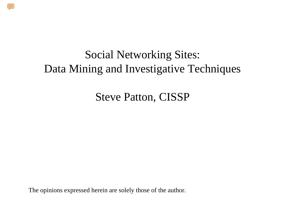

Steve Patton, CISSP

The opinions expressed herein are solely those of the author.

 $\sqrt{\frac{1}{2}}$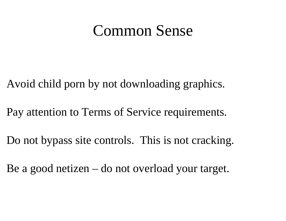#### Common Sense

Avoid child porn by not downloading graphics.

Pay attention to Terms of Service requirements.

Do not bypass site controls. This is not cracking.

Be a good netizen – do not overload your target.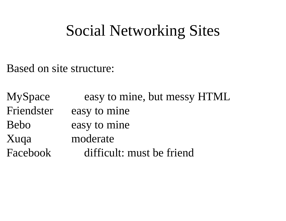### Social Networking Sites

Based on site structure:

MySpace easy to mine, but messy HTML Friendster easy to mine Bebo easy to mine Xuqa moderate Facebook difficult: must be friend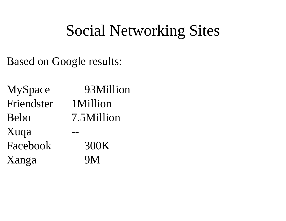## Social Networking Sites

Based on Google results:

MySpace 93Million Friendster 1MillionBebo 7.5MillionXuqa -- Facebook 300KXanga 9M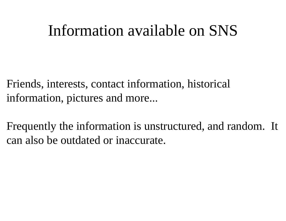### Information available on SNS

Friends, interests, contact information, historical information, pictures and more...

Frequently the information is unstructured, and random. It can also be outdated or inaccurate.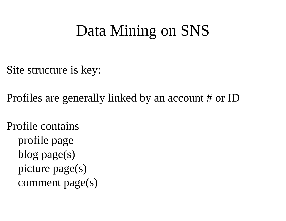## Data Mining on SNS

Site structure is key:

Profiles are generally linked by an account # or ID

Profile containsprofile page blog page(s) picture page(s) comment page(s)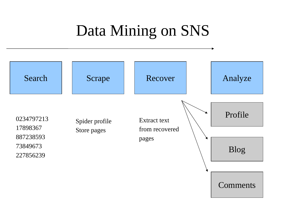# Data Mining on SNS

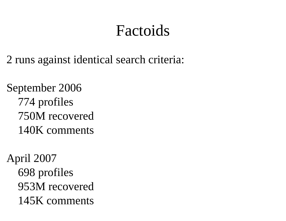## Factoids

2 runs against identical search criteria:

September 2006 774 profiles 750M recovered140K comments

April 2007 698 profiles 953M recovered 145K comments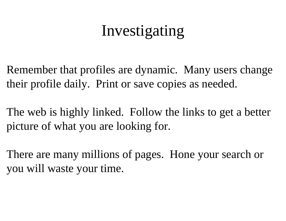# Investigating

Remember that profiles are dynamic. Many users change their profile daily. Print or save copies as needed.

The web is highly linked. Follow the links to get a better picture of what you are looking for.

There are many millions of pages. Hone your search or you will waste your time.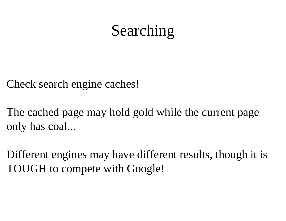# Searching

Check search engine caches!

The cached page may hold gold while the current page only has coal...

Different engines may have different results, though it is TOUGH to compete with Google!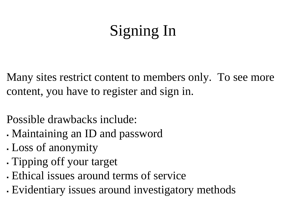# Signing In

Many sites restrict content to members only. To see more content, you have to register and sign in.

Possible drawbacks include:

- ▛ Maintaining an ID and password
- ▛ Loss of anonymity
- ▛ Tipping off your target
- Ethical issues around terms of service
- Evidentiary issues around investigatory methods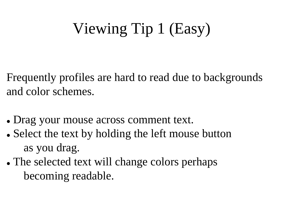# Viewing Tip 1 (Easy)

Frequently profiles are hard to read due to backgrounds and color schemes.

- Drag your mouse across comment text.
- Select the text by holding the left mouse button as you drag.
- The selected text will change colors perhaps becoming readable.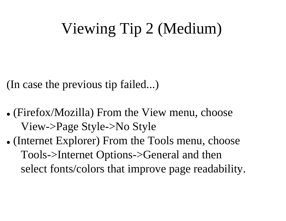# Viewing Tip 2 (Medium)

(In case the previous tip failed...)

- (Firefox/Mozilla) From the View menu, choose View->Page Style->No Style
- (Internet Explorer) From the Tools menu, choose Tools->Internet Options->General and then select fonts/colors that improve page readability.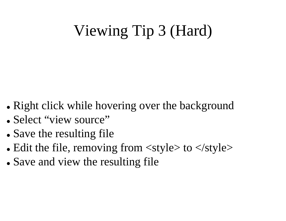# Viewing Tip 3 (Hard)

- Right click while hovering over the background
- Select "view source"
- Save the resulting file
- Edit the file, removing from  $\langle$ style $>$  to  $\langle$ style $>$
- Save and view the resulting file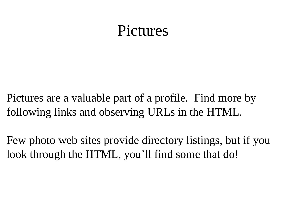#### Pictures

Pictures are a valuable part of a profile. Find more by following links and observing URLs in the HTML.

Few photo web sites provide directory listings, but if you look through the HTML, you'll find some that do!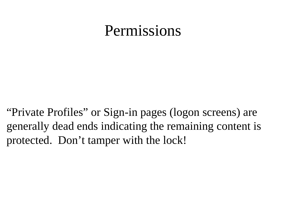### Permissions

"Private Profiles" or Sign-in pages (logon screens) are generally dead ends indicating the remaining content is protected. Don't tamper with the lock!